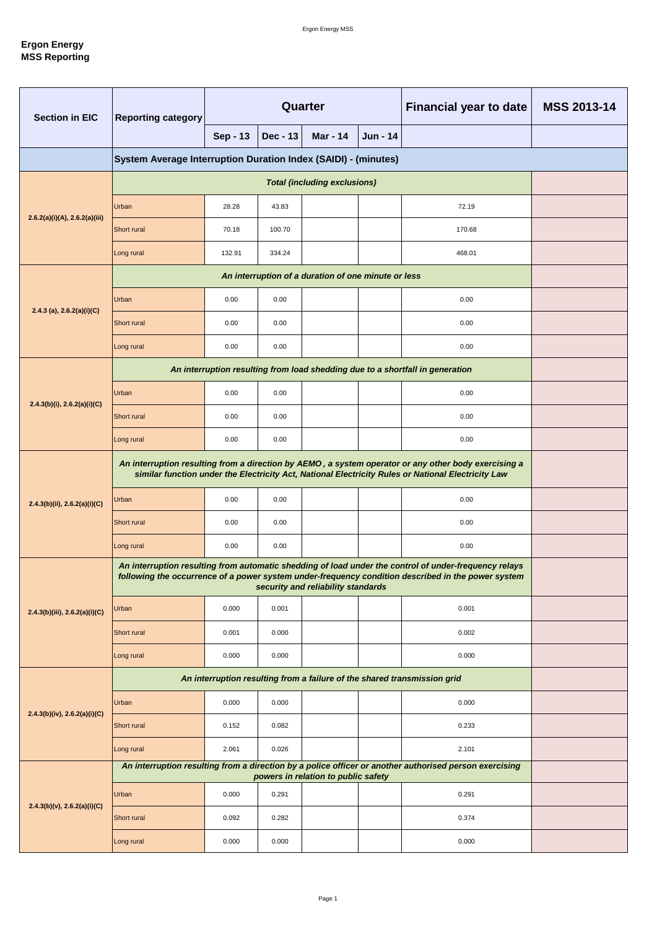| <b>Section in EIC</b>             | <b>Reporting category</b>                                                                                                                                                                                   | Quarter  |          |                                     |          | <b>Financial year to date</b>                                                                          | <b>MSS 2013-14</b> |
|-----------------------------------|-------------------------------------------------------------------------------------------------------------------------------------------------------------------------------------------------------------|----------|----------|-------------------------------------|----------|--------------------------------------------------------------------------------------------------------|--------------------|
|                                   |                                                                                                                                                                                                             | Sep - 13 | Dec - 13 | <b>Mar - 14</b>                     | Jun - 14 |                                                                                                        |                    |
|                                   | System Average Interruption Duration Index (SAIDI) - (minutes)                                                                                                                                              |          |          |                                     |          |                                                                                                        |                    |
|                                   |                                                                                                                                                                                                             |          |          |                                     |          |                                                                                                        |                    |
|                                   | Urban                                                                                                                                                                                                       | 28.28    | 43.83    |                                     |          | 72.19                                                                                                  |                    |
| 2.6.2(a)(i)(A), 2.6.2(a)(iii)     | Short rural                                                                                                                                                                                                 | 70.18    | 100.70   |                                     |          | 170.68                                                                                                 |                    |
|                                   | Long rural                                                                                                                                                                                                  | 132.91   | 334.24   |                                     |          | 468.01                                                                                                 |                    |
|                                   |                                                                                                                                                                                                             |          |          |                                     |          |                                                                                                        |                    |
| 2.4.3 (a), $2.6.2(a)(i)(C)$       | Urban                                                                                                                                                                                                       | 0.00     | 0.00     |                                     |          | 0.00                                                                                                   |                    |
|                                   | Short rural                                                                                                                                                                                                 | 0.00     | 0.00     |                                     |          | 0.00                                                                                                   |                    |
|                                   | Long rural                                                                                                                                                                                                  | 0.00     | 0.00     |                                     |          | 0.00                                                                                                   |                    |
|                                   |                                                                                                                                                                                                             |          |          |                                     |          | An interruption resulting from load shedding due to a shortfall in generation                          |                    |
| $2.4.3(b)(i)$ , $2.6.2(a)(i)(C)$  | Urban                                                                                                                                                                                                       | 0.00     | 0.00     |                                     |          | 0.00                                                                                                   |                    |
|                                   | Short rural                                                                                                                                                                                                 | 0.00     | 0.00     |                                     |          | 0.00                                                                                                   |                    |
|                                   | Long rural                                                                                                                                                                                                  | 0.00     | 0.00     |                                     |          | 0.00                                                                                                   |                    |
|                                   | An interruption resulting from a direction by AEMO, a system operator or any other body exercising a<br>similar function under the Electricity Act, National Electricity Rules or National Electricity Law  |          |          |                                     |          |                                                                                                        |                    |
| 2.4.3(b)(ii), 2.6.2(a)(i)(C)      | Urban                                                                                                                                                                                                       | 0.00     | 0.00     |                                     |          | 0.00                                                                                                   |                    |
|                                   | Short rural                                                                                                                                                                                                 | 0.00     | 0.00     |                                     |          | 0.00                                                                                                   |                    |
|                                   | Long rural                                                                                                                                                                                                  | 0.00     | 0.00     |                                     |          | 0.00                                                                                                   |                    |
|                                   | An interruption resulting from automatic shedding of load under the control of under-frequency relays<br>following the occurrence of a power system under-frequency condition described in the power system |          |          |                                     |          |                                                                                                        |                    |
| 2.4.3(b)(iii), 2.6.2(a)(i)(C)     | Urban                                                                                                                                                                                                       | 0.000    | 0.001    |                                     |          | 0.001                                                                                                  |                    |
|                                   | Short rural                                                                                                                                                                                                 | 0.001    | 0.000    |                                     |          | 0.002                                                                                                  |                    |
|                                   | Long rural                                                                                                                                                                                                  | 0.000    | 0.000    |                                     |          | 0.000                                                                                                  |                    |
|                                   | An interruption resulting from a failure of the shared transmission grid                                                                                                                                    |          |          |                                     |          |                                                                                                        |                    |
|                                   | Urban                                                                                                                                                                                                       | 0.000    | 0.000    |                                     |          | 0.000                                                                                                  |                    |
| $2.4.3(b)(iv)$ , $2.6.2(a)(i)(C)$ | Short rural                                                                                                                                                                                                 | 0.152    | 0.082    |                                     |          | 0.233                                                                                                  |                    |
|                                   | Long rural                                                                                                                                                                                                  | 2.061    | 0.026    |                                     |          | 2.101                                                                                                  |                    |
|                                   |                                                                                                                                                                                                             |          |          | powers in relation to public safety |          | An interruption resulting from a direction by a police officer or another authorised person exercising |                    |
|                                   | Urban                                                                                                                                                                                                       | 0.000    | 0.291    |                                     |          | 0.291                                                                                                  |                    |
| 2.4.3(b)(v), 2.6.2(a)(i)(C)       | Short rural                                                                                                                                                                                                 | 0.092    | 0.282    |                                     |          | 0.374                                                                                                  |                    |
|                                   | Long rural                                                                                                                                                                                                  | 0.000    | 0.000    |                                     |          | 0.000                                                                                                  |                    |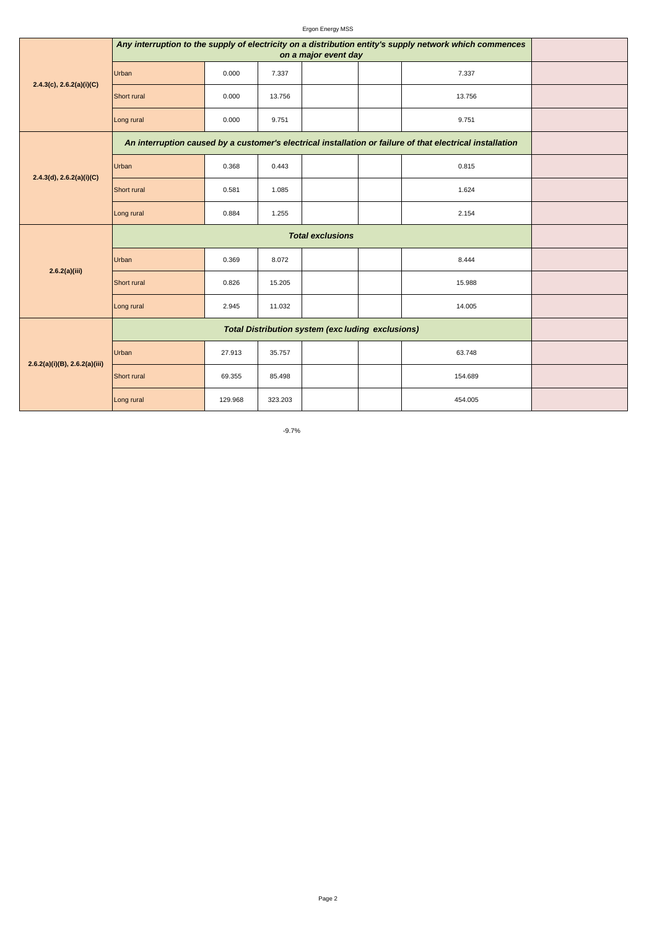| <b>Ergon Energy MSS</b> |  |
|-------------------------|--|
|-------------------------|--|

| 2.4.3(c), 2.6.2(a)(i)(C)           | Any interruption to the supply of electricity on a distribution entity's supply network which commences |         |         |  |                                                                                                           |  |
|------------------------------------|---------------------------------------------------------------------------------------------------------|---------|---------|--|-----------------------------------------------------------------------------------------------------------|--|
|                                    | Urban                                                                                                   | 0.000   | 7.337   |  | 7.337                                                                                                     |  |
|                                    | Short rural                                                                                             | 0.000   | 13.756  |  | 13.756                                                                                                    |  |
|                                    | Long rural                                                                                              | 0.000   | 9.751   |  | 9.751                                                                                                     |  |
|                                    |                                                                                                         |         |         |  | An interruption caused by a customer's electrical installation or failure of that electrical installation |  |
|                                    | Urban                                                                                                   | 0.368   | 0.443   |  | 0.815                                                                                                     |  |
| 2.4.3(d), 2.6.2(a)(i)(C)           | Short rural                                                                                             | 0.581   | 1.085   |  | 1.624                                                                                                     |  |
|                                    | Long rural                                                                                              | 0.884   | 1.255   |  | 2.154                                                                                                     |  |
|                                    |                                                                                                         |         |         |  |                                                                                                           |  |
| 2.6.2(a)(iii)                      | Urban                                                                                                   | 0.369   | 8.072   |  | 8.444                                                                                                     |  |
|                                    | Short rural                                                                                             | 0.826   | 15.205  |  | 15.988                                                                                                    |  |
|                                    | Long rural                                                                                              | 2.945   | 11.032  |  | 14.005                                                                                                    |  |
|                                    |                                                                                                         |         |         |  |                                                                                                           |  |
|                                    | Urban                                                                                                   | 27.913  | 35.757  |  | 63.748                                                                                                    |  |
| $2.6.2(a)(i)(B)$ , $2.6.2(a)(iii)$ | Short rural                                                                                             | 69.355  | 85.498  |  | 154.689                                                                                                   |  |
|                                    | Long rural                                                                                              | 129.968 | 323.203 |  | 454.005                                                                                                   |  |

-9.7%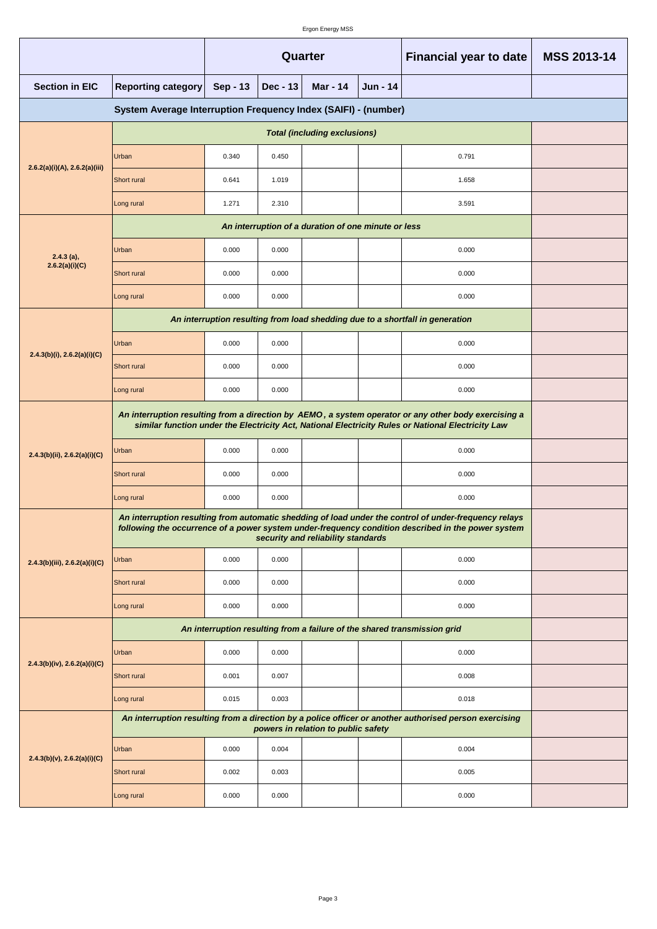|                                                                | Quarter                                                                                                                                                                                                                                           |          |            |                                                     | <b>Financial year to date</b> | <b>MSS 2013-14</b>                                                                                     |  |  |  |
|----------------------------------------------------------------|---------------------------------------------------------------------------------------------------------------------------------------------------------------------------------------------------------------------------------------------------|----------|------------|-----------------------------------------------------|-------------------------------|--------------------------------------------------------------------------------------------------------|--|--|--|
| <b>Section in EIC</b>                                          | <b>Reporting category</b>                                                                                                                                                                                                                         | Sep - 13 | $Dec - 13$ | Mar - 14                                            | Jun - 14                      |                                                                                                        |  |  |  |
| System Average Interruption Frequency Index (SAIFI) - (number) |                                                                                                                                                                                                                                                   |          |            |                                                     |                               |                                                                                                        |  |  |  |
|                                                                |                                                                                                                                                                                                                                                   |          |            |                                                     |                               |                                                                                                        |  |  |  |
|                                                                | Urban                                                                                                                                                                                                                                             | 0.340    | 0.450      |                                                     |                               | 0.791                                                                                                  |  |  |  |
| 2.6.2(a)(i)(A), 2.6.2(a)(iii)                                  | Short rural                                                                                                                                                                                                                                       | 0.641    | 1.019      |                                                     |                               | 1.658                                                                                                  |  |  |  |
|                                                                | Long rural                                                                                                                                                                                                                                        | 1.271    | 2.310      |                                                     |                               | 3.591                                                                                                  |  |  |  |
|                                                                |                                                                                                                                                                                                                                                   |          |            | An interruption of a duration of one minute or less |                               |                                                                                                        |  |  |  |
| $2.4.3$ (a),                                                   | Urban                                                                                                                                                                                                                                             | 0.000    | 0.000      |                                                     |                               | 0.000                                                                                                  |  |  |  |
| 2.6.2(a)(i)(C)                                                 | Short rural                                                                                                                                                                                                                                       | 0.000    | 0.000      |                                                     |                               | 0.000                                                                                                  |  |  |  |
|                                                                | Long rural                                                                                                                                                                                                                                        | 0.000    | 0.000      |                                                     |                               | 0.000                                                                                                  |  |  |  |
|                                                                |                                                                                                                                                                                                                                                   |          |            |                                                     |                               | An interruption resulting from load shedding due to a shortfall in generation                          |  |  |  |
| $2.4.3(b)(i)$ , $2.6.2(a)(i)(C)$                               | Urban                                                                                                                                                                                                                                             | 0.000    | 0.000      |                                                     |                               | 0.000                                                                                                  |  |  |  |
|                                                                | Short rural                                                                                                                                                                                                                                       | 0.000    | 0.000      |                                                     |                               | 0.000                                                                                                  |  |  |  |
|                                                                | Long rural                                                                                                                                                                                                                                        | 0.000    | 0.000      |                                                     |                               | 0.000                                                                                                  |  |  |  |
|                                                                | An interruption resulting from a direction by AEMO, a system operator or any other body exercising a<br>similar function under the Electricity Act, National Electricity Rules or National Electricity Law                                        |          |            |                                                     |                               |                                                                                                        |  |  |  |
| 2.4.3(b)(ii), 2.6.2(a)(i)(C)                                   | Urban                                                                                                                                                                                                                                             | 0.000    | 0.000      |                                                     |                               | 0.000                                                                                                  |  |  |  |
|                                                                | Short rural                                                                                                                                                                                                                                       | 0.000    | 0.000      |                                                     |                               | 0.000                                                                                                  |  |  |  |
|                                                                | Long rural                                                                                                                                                                                                                                        | 0.000    | 0.000      |                                                     |                               | 0.000                                                                                                  |  |  |  |
|                                                                | An interruption resulting from automatic shedding of load under the control of under-frequency relays<br>following the occurrence of a power system under-frequency condition described in the power system<br>security and reliability standards |          |            |                                                     |                               |                                                                                                        |  |  |  |
| 2.4.3(b)(iii), 2.6.2(a)(i)(C)                                  | Urban                                                                                                                                                                                                                                             | 0.000    | 0.000      |                                                     |                               | 0.000                                                                                                  |  |  |  |
|                                                                | Short rural                                                                                                                                                                                                                                       | 0.000    | 0.000      |                                                     |                               | 0.000                                                                                                  |  |  |  |
|                                                                | Long rural                                                                                                                                                                                                                                        | 0.000    | 0.000      |                                                     |                               | 0.000                                                                                                  |  |  |  |
|                                                                |                                                                                                                                                                                                                                                   |          |            |                                                     |                               | An interruption resulting from a failure of the shared transmission grid                               |  |  |  |
|                                                                | Urban                                                                                                                                                                                                                                             | 0.000    | 0.000      |                                                     |                               | 0.000                                                                                                  |  |  |  |
| $2.4.3(b)(iv)$ , $2.6.2(a)(i)(C)$                              | Short rural                                                                                                                                                                                                                                       | 0.001    | 0.007      |                                                     |                               | 0.008                                                                                                  |  |  |  |
|                                                                | Long rural                                                                                                                                                                                                                                        | 0.015    | 0.003      |                                                     |                               | 0.018                                                                                                  |  |  |  |
|                                                                |                                                                                                                                                                                                                                                   |          |            | powers in relation to public safety                 |                               | An interruption resulting from a direction by a police officer or another authorised person exercising |  |  |  |
|                                                                | Urban                                                                                                                                                                                                                                             | 0.000    | 0.004      |                                                     |                               | 0.004                                                                                                  |  |  |  |
| $2.4.3(b)(v)$ , $2.6.2(a)(i)(C)$                               | Short rural                                                                                                                                                                                                                                       | 0.002    | 0.003      |                                                     |                               | 0.005                                                                                                  |  |  |  |
|                                                                | Long rural                                                                                                                                                                                                                                        | 0.000    | 0.000      |                                                     |                               | 0.000                                                                                                  |  |  |  |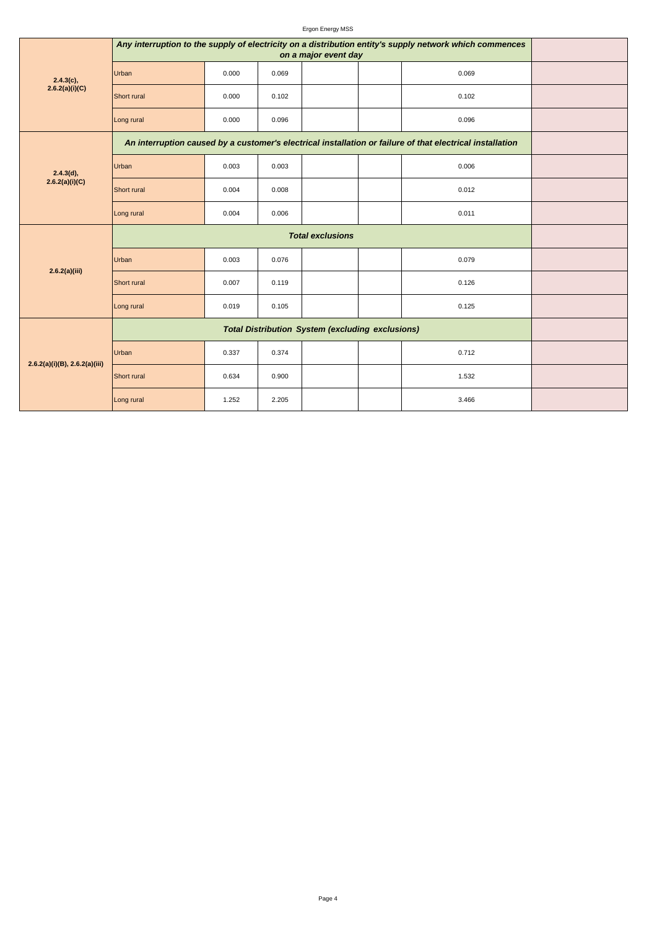| $2.4.3(c)$ ,<br>2.6.2(a)(i)(C)     | Any interruption to the supply of electricity on a distribution entity's supply network which commences |       |       |  |                                                                                                           |  |
|------------------------------------|---------------------------------------------------------------------------------------------------------|-------|-------|--|-----------------------------------------------------------------------------------------------------------|--|
|                                    | Urban                                                                                                   | 0.000 | 0.069 |  | 0.069                                                                                                     |  |
|                                    | Short rural                                                                                             | 0.000 | 0.102 |  | 0.102                                                                                                     |  |
|                                    | Long rural                                                                                              | 0.000 | 0.096 |  | 0.096                                                                                                     |  |
|                                    |                                                                                                         |       |       |  | An interruption caused by a customer's electrical installation or failure of that electrical installation |  |
| 2.4.3(d),                          | Urban                                                                                                   | 0.003 | 0.003 |  | 0.006                                                                                                     |  |
| 2.6.2(a)(i)(C)                     | Short rural                                                                                             | 0.004 | 0.008 |  | 0.012                                                                                                     |  |
|                                    | Long rural                                                                                              | 0.004 | 0.006 |  | 0.011                                                                                                     |  |
|                                    |                                                                                                         |       |       |  |                                                                                                           |  |
| 2.6.2(a)(iii)                      | Urban                                                                                                   | 0.003 | 0.076 |  | 0.079                                                                                                     |  |
|                                    | Short rural                                                                                             | 0.007 | 0.119 |  | 0.126                                                                                                     |  |
|                                    | Long rural                                                                                              | 0.019 | 0.105 |  | 0.125                                                                                                     |  |
|                                    |                                                                                                         |       |       |  |                                                                                                           |  |
|                                    | Urban                                                                                                   | 0.337 | 0.374 |  | 0.712                                                                                                     |  |
| $2.6.2(a)(i)(B)$ , $2.6.2(a)(iii)$ | Short rural                                                                                             | 0.634 | 0.900 |  | 1.532                                                                                                     |  |
|                                    | Long rural                                                                                              | 1.252 | 2.205 |  | 3.466                                                                                                     |  |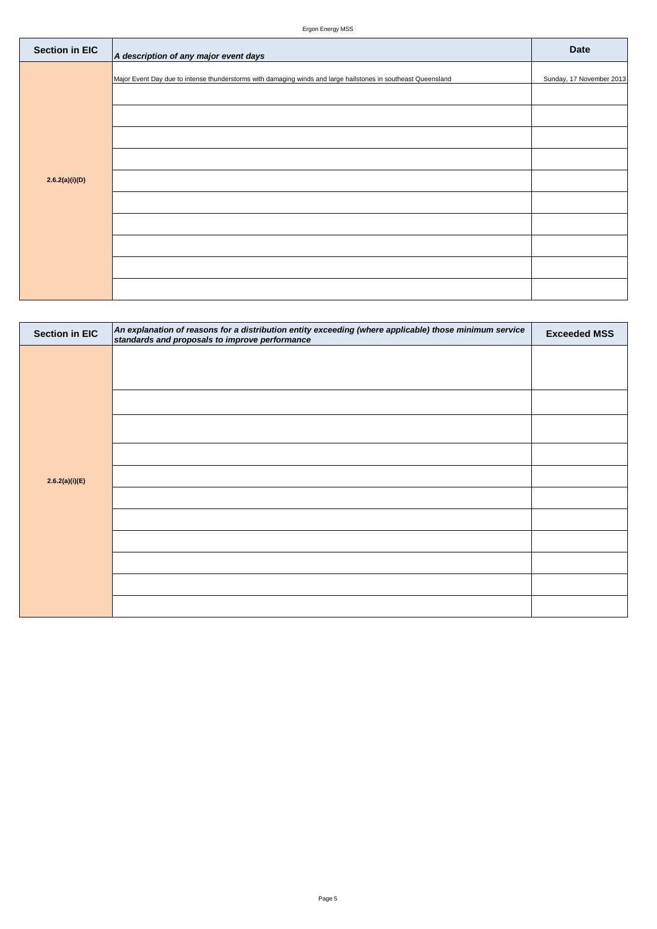| <b>Section in EIC</b> | A description of any major event days                                                                         | <b>Date</b>              |
|-----------------------|---------------------------------------------------------------------------------------------------------------|--------------------------|
|                       | Major Event Day due to intense thunderstorms with damaging winds and large hailstones in southeast Queensland | Sunday, 17 November 2013 |
|                       |                                                                                                               |                          |
|                       |                                                                                                               |                          |
|                       |                                                                                                               |                          |
| 2.6.2(a)(i)(D)        |                                                                                                               |                          |
|                       |                                                                                                               |                          |
|                       |                                                                                                               |                          |
|                       |                                                                                                               |                          |
|                       |                                                                                                               |                          |
|                       |                                                                                                               |                          |

| <b>Section in EIC</b> | An explanation of reasons for a distribution entity exceeding (where applicable) those minimum service<br>standards and proposals to improve performance | <b>Exceeded MSS</b> |
|-----------------------|----------------------------------------------------------------------------------------------------------------------------------------------------------|---------------------|
|                       |                                                                                                                                                          |                     |
|                       |                                                                                                                                                          |                     |
|                       |                                                                                                                                                          |                     |
|                       |                                                                                                                                                          |                     |
|                       |                                                                                                                                                          |                     |
| 2.6.2(a)(i)(E)        |                                                                                                                                                          |                     |
|                       |                                                                                                                                                          |                     |
|                       |                                                                                                                                                          |                     |
|                       |                                                                                                                                                          |                     |
|                       |                                                                                                                                                          |                     |
|                       |                                                                                                                                                          |                     |
|                       |                                                                                                                                                          |                     |